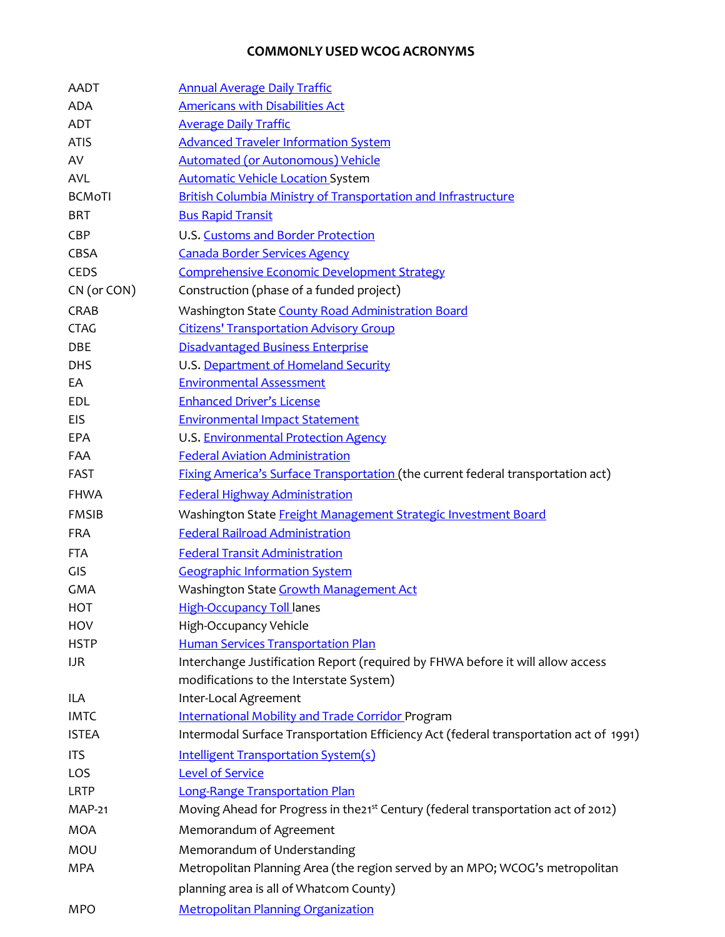## **COMMONLY USED WCOG ACRONYMS**

| AADT          | <b>Annual Average Daily Traffic</b>                                                                                       |
|---------------|---------------------------------------------------------------------------------------------------------------------------|
| ADA           | <b>Americans with Disabilities Act</b>                                                                                    |
| ADT           | <b>Average Daily Traffic</b>                                                                                              |
| <b>ATIS</b>   | <b>Advanced Traveler Information System</b>                                                                               |
| AV            | <b>Automated (or Autonomous) Vehicle</b>                                                                                  |
| <b>AVL</b>    | <b>Automatic Vehicle Location System</b>                                                                                  |
| <b>BCMoTI</b> | <b>British Columbia Ministry of Transportation and Infrastructure</b>                                                     |
| <b>BRT</b>    | <b>Bus Rapid Transit</b>                                                                                                  |
| CBP           | U.S. Customs and Border Protection                                                                                        |
| CBSA          | <b>Canada Border Services Agency</b>                                                                                      |
| CEDS          | <b>Comprehensive Economic Development Strategy</b>                                                                        |
| CN (or CON)   | Construction (phase of a funded project)                                                                                  |
| CRAB          | Washington State County Road Administration Board                                                                         |
| <b>CTAG</b>   | <b>Citizens' Transportation Advisory Group</b>                                                                            |
| DBE           | <b>Disadvantaged Business Enterprise</b>                                                                                  |
| <b>DHS</b>    | U.S. Department of Homeland Security                                                                                      |
| EA            | <b>Environmental Assessment</b>                                                                                           |
| EDL           | <b>Enhanced Driver's License</b>                                                                                          |
| <b>EIS</b>    | <b>Environmental Impact Statement</b>                                                                                     |
| EPA           | U.S. Environmental Protection Agency                                                                                      |
| FAA           | <b>Federal Aviation Administration</b>                                                                                    |
| <b>FAST</b>   | <b>Fixing America's Surface Transportation (the current federal transportation act)</b>                                   |
| <b>FHWA</b>   | <b>Federal Highway Administration</b>                                                                                     |
| <b>FMSIB</b>  | Washington State Freight Management Strategic Investment Board                                                            |
| <b>FRA</b>    | <b>Federal Railroad Administration</b>                                                                                    |
| <b>FTA</b>    | <b>Federal Transit Administration</b>                                                                                     |
| GIS           | <b>Geographic Information System</b>                                                                                      |
| <b>GMA</b>    | Washington State <b>Growth Management Act</b>                                                                             |
| <b>HOT</b>    | <b>High-Occupancy Toll lanes</b>                                                                                          |
| HOV           | High-Occupancy Vehicle                                                                                                    |
| <b>HSTP</b>   | <b>Human Services Transportation Plan</b>                                                                                 |
| <b>IJR</b>    | Interchange Justification Report (required by FHWA before it will allow access<br>modifications to the Interstate System) |
| ILA           | Inter-Local Agreement                                                                                                     |
| <b>IMTC</b>   | <b>International Mobility and Trade Corridor Program</b>                                                                  |
| <b>ISTEA</b>  | Intermodal Surface Transportation Efficiency Act (federal transportation act of 1991)                                     |
| <b>ITS</b>    | <b>Intelligent Transportation System(s)</b>                                                                               |
| LOS           | <b>Level of Service</b>                                                                                                   |
| LRTP          | <b>Long-Range Transportation Plan</b>                                                                                     |
| <b>MAP-21</b> | Moving Ahead for Progress in the21 <sup>st</sup> Century (federal transportation act of 2012)                             |
| <b>MOA</b>    | Memorandum of Agreement                                                                                                   |
| MOU           | Memorandum of Understanding                                                                                               |
| <b>MPA</b>    | Metropolitan Planning Area (the region served by an MPO; WCOG's metropolitan                                              |
|               | planning area is all of Whatcom County)                                                                                   |
| <b>MPO</b>    | <b>Metropolitan Planning Organization</b>                                                                                 |